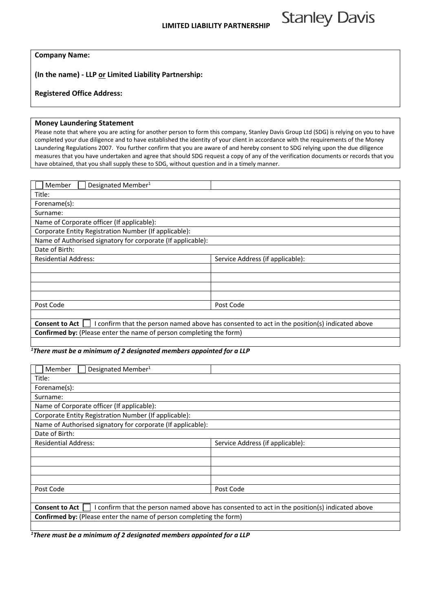**Stanley Davis** 

**(In the name) ‐ LLP or Limited Liability Partnership:**

## **Registered Office Address:**

## **Money Laundering Statement**

Please note that where you are acting for another person to form this company, Stanley Davis Group Ltd (SDG) is relying on you to have completed your due diligence and to have established the identity of your client in accordance with the requirements of the Money Laundering Regulations 2007. You further confirm that you are aware of and hereby consent to SDG relying upon the due diligence measures that you have undertaken and agree that should SDG request a copy of any of the verification documents or records that you have obtained, that you shall supply these to SDG, without question and in a timely manner.

| Member<br>Designated Member <sup>1</sup>                                                                               |                                  |  |
|------------------------------------------------------------------------------------------------------------------------|----------------------------------|--|
| Title:                                                                                                                 |                                  |  |
| Forename(s):                                                                                                           |                                  |  |
| Surname:                                                                                                               |                                  |  |
| Name of Corporate officer (If applicable):                                                                             |                                  |  |
| Corporate Entity Registration Number (If applicable):                                                                  |                                  |  |
| Name of Authorised signatory for corporate (If applicable):                                                            |                                  |  |
| Date of Birth:                                                                                                         |                                  |  |
| <b>Residential Address:</b>                                                                                            | Service Address (if applicable): |  |
|                                                                                                                        |                                  |  |
|                                                                                                                        |                                  |  |
|                                                                                                                        |                                  |  |
|                                                                                                                        |                                  |  |
| Post Code                                                                                                              | Post Code                        |  |
|                                                                                                                        |                                  |  |
| I confirm that the person named above has consented to act in the position(s) indicated above<br><b>Consent to Act</b> |                                  |  |
| <b>Confirmed by:</b> (Please enter the name of person completing the form)                                             |                                  |  |

## *1 There must be a minimum of 2 designated members appointed for a LLP*

| Member<br>Designated Member <sup>1</sup>                                                                               |                                  |  |
|------------------------------------------------------------------------------------------------------------------------|----------------------------------|--|
| Title:                                                                                                                 |                                  |  |
| Forename(s):                                                                                                           |                                  |  |
| Surname:                                                                                                               |                                  |  |
| Name of Corporate officer (If applicable):                                                                             |                                  |  |
| Corporate Entity Registration Number (If applicable):                                                                  |                                  |  |
| Name of Authorised signatory for corporate (If applicable):                                                            |                                  |  |
| Date of Birth:                                                                                                         |                                  |  |
| <b>Residential Address:</b>                                                                                            | Service Address (if applicable): |  |
|                                                                                                                        |                                  |  |
|                                                                                                                        |                                  |  |
|                                                                                                                        |                                  |  |
|                                                                                                                        |                                  |  |
| Post Code                                                                                                              | Post Code                        |  |
|                                                                                                                        |                                  |  |
| I confirm that the person named above has consented to act in the position(s) indicated above<br><b>Consent to Act</b> |                                  |  |
| <b>Confirmed by:</b> (Please enter the name of person completing the form)                                             |                                  |  |
|                                                                                                                        |                                  |  |

*1 There must be a minimum of 2 designated members appointed for a LLP*